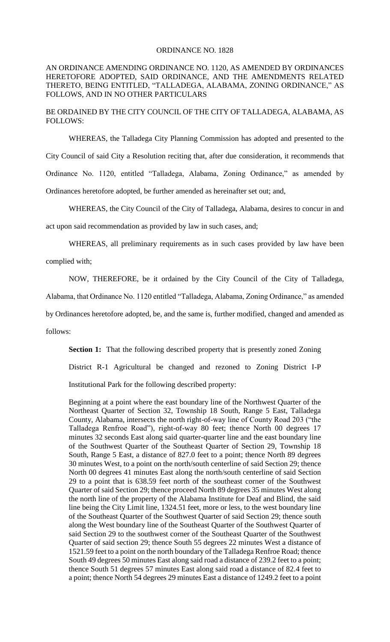## ORDINANCE NO. 1828

## AN ORDINANCE AMENDING ORDINANCE NO. 1120, AS AMENDED BY ORDINANCES HERETOFORE ADOPTED, SAID ORDINANCE, AND THE AMENDMENTS RELATED THERETO, BEING ENTITLED, "TALLADEGA, ALABAMA, ZONING ORDINANCE," AS FOLLOWS, AND IN NO OTHER PARTICULARS

BE ORDAINED BY THE CITY COUNCIL OF THE CITY OF TALLADEGA, ALABAMA, AS FOLLOWS:

WHEREAS, the Talladega City Planning Commission has adopted and presented to the City Council of said City a Resolution reciting that, after due consideration, it recommends that Ordinance No. 1120, entitled "Talladega, Alabama, Zoning Ordinance," as amended by Ordinances heretofore adopted, be further amended as hereinafter set out; and,

WHEREAS, the City Council of the City of Talladega, Alabama, desires to concur in and act upon said recommendation as provided by law in such cases, and;

WHEREAS, all preliminary requirements as in such cases provided by law have been complied with;

NOW, THEREFORE, be it ordained by the City Council of the City of Talladega,

Alabama, that Ordinance No. 1120 entitled "Talladega, Alabama, Zoning Ordinance," as amended

by Ordinances heretofore adopted, be, and the same is, further modified, changed and amended as

follows:

**Section 1:** That the following described property that is presently zoned Zoning

District R-1 Agricultural be changed and rezoned to Zoning District I-P

Institutional Park for the following described property:

Beginning at a point where the east boundary line of the Northwest Quarter of the Northeast Quarter of Section 32, Township 18 South, Range 5 East, Talladega County, Alabama, intersects the north right-of-way line of County Road 203 ("the Talladega Renfroe Road"), right-of-way 80 feet; thence North 00 degrees 17 minutes 32 seconds East along said quarter-quarter line and the east boundary line of the Southwest Quarter of the Southeast Quarter of Section 29, Township 18 South, Range 5 East, a distance of 827.0 feet to a point; thence North 89 degrees 30 minutes West, to a point on the north/south centerline of said Section 29; thence North 00 degrees 41 minutes East along the north/south centerline of said Section 29 to a point that is 638.59 feet north of the southeast corner of the Southwest Quarter of said Section 29; thence proceed North 89 degrees 35 minutes West along the north line of the property of the Alabama Institute for Deaf and Blind, the said line being the City Limit line, 1324.51 feet, more or less, to the west boundary line of the Southeast Quarter of the Southwest Quarter of said Section 29; thence south along the West boundary line of the Southeast Quarter of the Southwest Quarter of said Section 29 to the southwest corner of the Southeast Quarter of the Southwest Quarter of said section 29; thence South 55 degrees 22 minutes West a distance of 1521.59 feet to a point on the north boundary of the Talladega Renfroe Road; thence South 49 degrees 50 minutes East along said road a distance of 239.2 feet to a point; thence South 51 degrees 57 minutes East along said road a distance of 82.4 feet to a point; thence North 54 degrees 29 minutes East a distance of 1249.2 feet to a point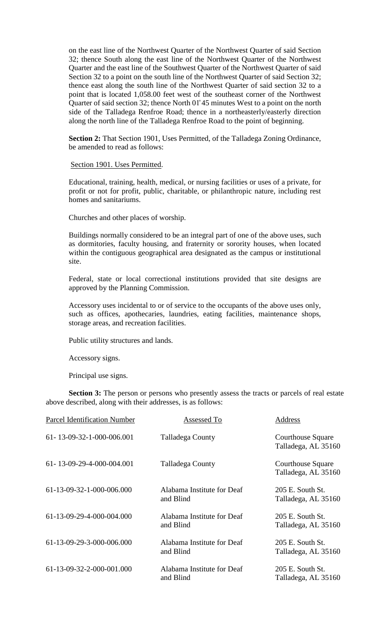on the east line of the Northwest Quarter of the Northwest Quarter of said Section 32; thence South along the east line of the Northwest Quarter of the Northwest Quarter and the east line of the Southwest Quarter of the Northwest Quarter of said Section 32 to a point on the south line of the Northwest Quarter of said Section 32; thence east along the south line of the Northwest Quarter of said section 32 to a point that is located 1,058.00 feet west of the southeast corner of the Northwest Quarter of said section 32; thence North 01̊45 minutes West to a point on the north side of the Talladega Renfroe Road; thence in a northeasterly/easterly direction along the north line of the Talladega Renfroe Road to the point of beginning.

**Section 2:** That Section 1901, Uses Permitted, of the Talladega Zoning Ordinance, be amended to read as follows:

## Section 1901. Uses Permitted.

Educational, training, health, medical, or nursing facilities or uses of a private, for profit or not for profit, public, charitable, or philanthropic nature, including rest homes and sanitariums.

Churches and other places of worship.

Buildings normally considered to be an integral part of one of the above uses, such as dormitories, faculty housing, and fraternity or sorority houses, when located within the contiguous geographical area designated as the campus or institutional site.

Federal, state or local correctional institutions provided that site designs are approved by the Planning Commission.

Accessory uses incidental to or of service to the occupants of the above uses only, such as offices, apothecaries, laundries, eating facilities, maintenance shops, storage areas, and recreation facilities.

Public utility structures and lands.

Accessory signs.

Principal use signs.

**Section 3:** The person or persons who presently assess the tracts or parcels of real estate above described, along with their addresses, is as follows:

| <b>Parcel Identification Number</b> | Assessed To                             | Address                                         |
|-------------------------------------|-----------------------------------------|-------------------------------------------------|
| 61-13-09-32-1-000-006.001           | Talladega County                        | <b>Courthouse Square</b><br>Talladega, AL 35160 |
| 61-13-09-29-4-000-004.001           | Talladega County                        | Courthouse Square<br>Talladega, AL 35160        |
| 61-13-09-32-1-000-006.000           | Alabama Institute for Deaf<br>and Blind | 205 E. South St.<br>Talladega, AL 35160         |
| 61-13-09-29-4-000-004.000           | Alabama Institute for Deaf<br>and Blind | 205 E. South St.<br>Talladega, AL 35160         |
| 61-13-09-29-3-000-006.000           | Alabama Institute for Deaf<br>and Blind | 205 E. South St.<br>Talladega, AL 35160         |
| 61-13-09-32-2-000-001.000           | Alabama Institute for Deaf<br>and Blind | 205 E. South St.<br>Talladega, AL 35160         |